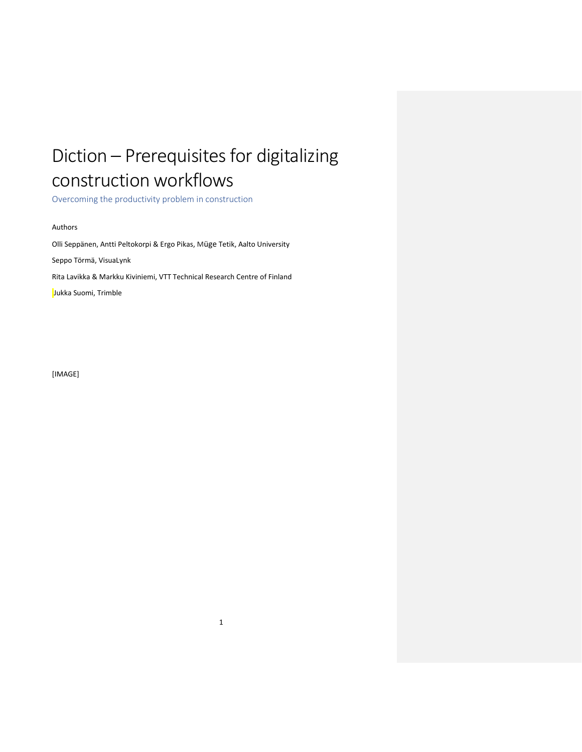# Diction – Prerequisites for digitalizing construction workflows

<span id="page-0-0"></span>Overcoming the productivity problem in construction

#### Authors

Olli Seppänen, Antti Peltokorpi & Ergo Pikas, Müge Tetik, Aalto University Seppo Törmä, VisuaLynk Rita Lavikka & Markku Kiviniemi, VTT Technical Research Centre of Finland Jukka Suomi, Trimble

[IMAGE]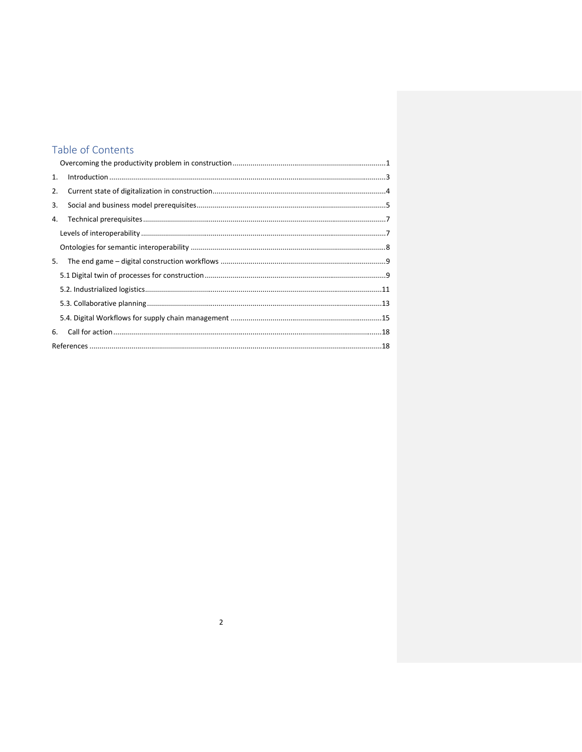# Table of Contents

| 1. |  |  |
|----|--|--|
| 2. |  |  |
| 3. |  |  |
| 4. |  |  |
|    |  |  |
|    |  |  |
| 5. |  |  |
|    |  |  |
|    |  |  |
|    |  |  |
|    |  |  |
| 6. |  |  |
|    |  |  |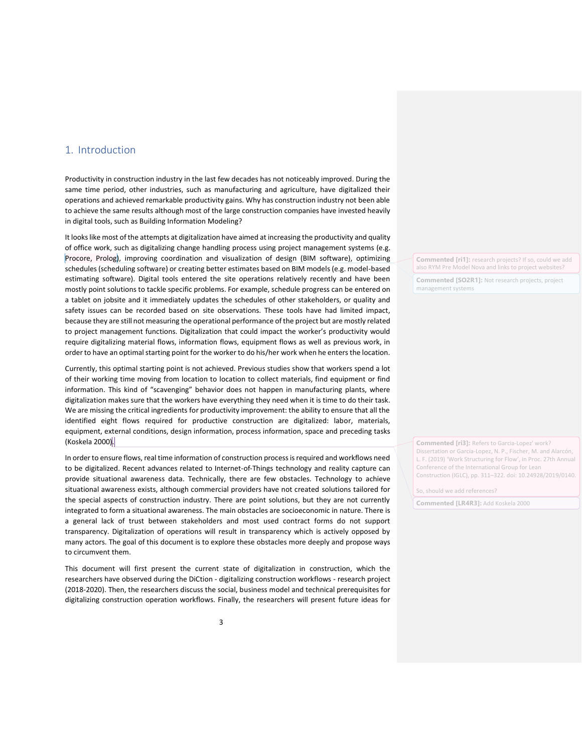## <span id="page-2-0"></span>1. Introduction

Productivity in construction industry in the last few decades has not noticeably improved. During the same time period, other industries, such as manufacturing and agriculture, have digitalized their operations and achieved remarkable productivity gains. Why has construction industry not been able to achieve the same results although most of the large construction companies have invested heavily in digital tools, such as Building Information Modeling?

It looks like most of the attempts at digitalization have aimed at increasing the productivity and quality of office work, such as digitalizing change handling process using project management systems (e.g. Procore, Prolog), improving coordination and visualization of design (BIM software), optimizing schedules (scheduling software) or creating better estimates based on BIM models (e.g. model-based estimating software). Digital tools entered the site operations relatively recently and have been mostly point solutions to tackle specific problems. For example, schedule progress can be entered on a tablet on jobsite and it immediately updates the schedules of other stakeholders, or quality and safety issues can be recorded based on site observations. These tools have had limited impact, because they are still not measuring the operational performance of the project but are mostly related to project management functions. Digitalization that could impact the worker's productivity would require digitalizing material flows, information flows, equipment flows as well as previous work, in order to have an optimal starting point for the worker to do his/her work when he enters the location.

Currently, this optimal starting point is not achieved. Previous studies show that workers spend a lot of their working time moving from location to location to collect materials, find equipment or find information. This kind of "scavenging" behavior does not happen in manufacturing plants, where digitalization makes sure that the workers have everything they need when it is time to do their task. We are missing the critical ingredients for productivity improvement: the ability to ensure that all the identified eight flows required for productive construction are digitalized: labor, materials, equipment, external conditions, design information, process information, space and preceding tasks (Koskela 2000).

In order to ensure flows, real time information of construction process is required and workflows need to be digitalized. Recent advances related to Internet-of-Things technology and reality capture can provide situational awareness data. Technically, there are few obstacles. Technology to achieve situational awareness exists, although commercial providers have not created solutions tailored for the special aspects of construction industry. There are point solutions, but they are not currently integrated to form a situational awareness. The main obstacles are socioeconomic in nature. There is a general lack of trust between stakeholders and most used contract forms do not support transparency. Digitalization of operations will result in transparency which is actively opposed by many actors. The goal of this document is to explore these obstacles more deeply and propose ways to circumvent them.

This document will first present the current state of digitalization in construction, which the researchers have observed during the DiCtion - digitalizing construction workflows - research project (2018-2020). Then, the researchers discuss the social, business model and technical prerequisites for digitalizing construction operation workflows. Finally, the researchers will present future ideas for

**Commented [ri1]:** research projects? If so, could we add also RYM Pre Model Nova and links to project websites?

**Commented [SO2R1]:** Not research projects, project management systems

**Commented [ri3]:** Refers to Garcia-Lopez' work? Dissertation or Garcia-Lopez, N. P., Fischer, M. and Alarcón, L. F. (2019) 'Work Structuring for Flow', in Proc. 27th Annual Conference of the International Group for Lean Construction (IGLC), pp. 311–322. doi: 10.24928/2019/0140.

So, should we add references?

**Commented [LR4R3]:** Add Koskela 2000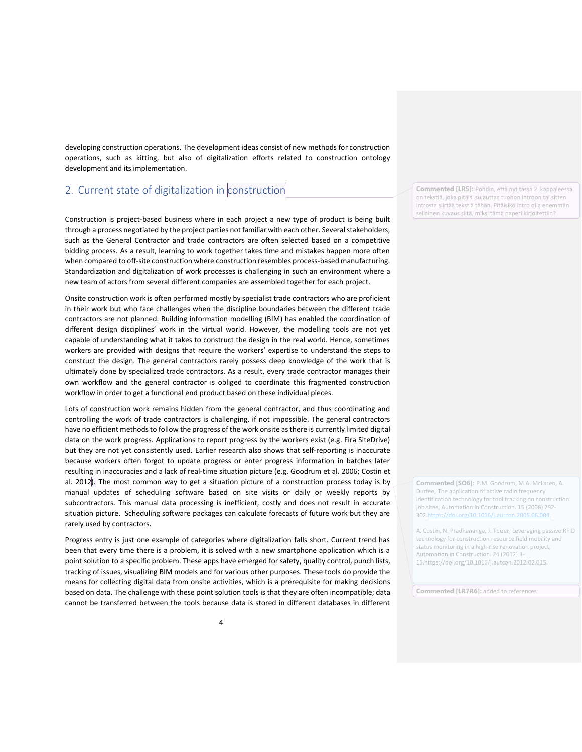developing construction operations. The development ideas consist of new methods for construction operations, such as kitting, but also of digitalization efforts related to construction ontology development and its implementation.

# <span id="page-3-0"></span>2. Current state of digitalization in  $\alpha$  construction

Construction is project-based business where in each project a new type of product is being built through a process negotiated by the project parties not familiar with each other. Several stakeholders, such as the General Contractor and trade contractors are often selected based on a competitive bidding process. As a result, learning to work together takes time and mistakes happen more often when compared to off-site construction where construction resembles process-based manufacturing. Standardization and digitalization of work processes is challenging in such an environment where a new team of actors from several different companies are assembled together for each project.

Onsite construction work is often performed mostly by specialist trade contractors who are proficient in their work but who face challenges when the discipline boundaries between the different trade contractors are not planned. Building information modelling (BIM) has enabled the coordination of different design disciplines' work in the virtual world. However, the modelling tools are not yet capable of understanding what it takes to construct the design in the real world. Hence, sometimes workers are provided with designs that require the workers' expertise to understand the steps to construct the design. The general contractors rarely possess deep knowledge of the work that is ultimately done by specialized trade contractors. As a result, every trade contractor manages their own workflow and the general contractor is obliged to coordinate this fragmented construction workflow in order to get a functional end product based on these individual pieces.

Lots of construction work remains hidden from the general contractor, and thus coordinating and controlling the work of trade contractors is challenging, if not impossible. The general contractors have no efficient methods to follow the progress of the work onsite as there is currently limited digital data on the work progress. Applications to report progress by the workers exist (e.g. Fira SiteDrive) but they are not yet consistently used. Earlier research also shows that self-reporting is inaccurate because workers often forgot to update progress or enter progress information in batches later resulting in inaccuracies and a lack of real-time situation picture (e.g. Goodrum et al. 2006; Costin et al. 2012). The most common way to get a situation picture of a construction process today is by manual updates of scheduling software based on site visits or daily or weekly reports by subcontractors. This manual data processing is inefficient, costly and does not result in accurate situation picture. Scheduling software packages can calculate forecasts of future work but they are rarely used by contractors.

Progress entry is just one example of categories where digitalization falls short. Current trend has been that every time there is a problem, it is solved with a new smartphone application which is a point solution to a specific problem. These apps have emerged for safety, quality control, punch lists, tracking of issues, visualizing BIM models and for various other purposes. These tools do provide the means for collecting digital data from onsite activities, which is a prerequisite for making decisions based on data. The challenge with these point solution tools is that they are often incompatible; data cannot be transferred between the tools because data is stored in different databases in different

**Commented [LR5]:** Pohdin, että nyt tässä 2. kappaleessa on tekstiä, joka pitäisi sujauttaa tuohon introon tai sitten introsta siirtää tekstiä tähän. Pitäisikö intro olla enemmän sellainen kuvaus siitä, miksi tämä paperi kirjoitettiin?

**Commented [SO6]:** P.M. Goodrum, M.A. McLaren, A. Durfee, The application of active radio frequency identification technology for tool tracking on construction job sites, Automation in Construction. 15 (2006) 292- 302.https://doi.org/10.1016/j.autcon.

A. Costin, N. Pradhananga, J. Teizer, Leveraging passive RFID technology for construction resource field mobility and status monitoring in a high-rise renovation project, Automation in Construction. 24 (2012) 1- 15.https://doi.org/10.1016/j.autcon.2012.02.015.

**Commented [LR7R6]:** added to references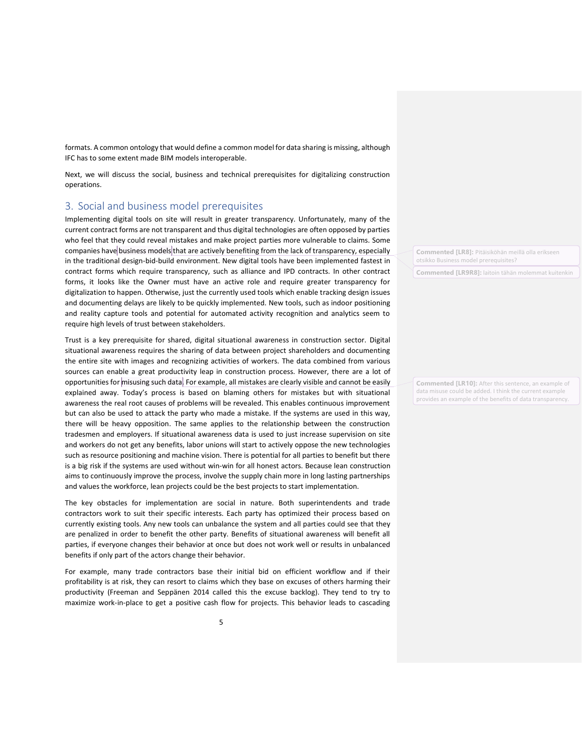formats. A common ontology that would define a common model for data sharing is missing, although IFC has to some extent made BIM models interoperable.

Next, we will discuss the social, business and technical prerequisites for digitalizing construction operations.

# <span id="page-4-0"></span>3. Social and business model prerequisites

Implementing digital tools on site will result in greater transparency. Unfortunately, many of the current contract forms are not transparent and thus digital technologies are often opposed by parties who feel that they could reveal mistakes and make project parties more vulnerable to claims. Some companies have business models that are actively benefiting from the lack of transparency, especially in the traditional design-bid-build environment. New digital tools have been implemented fastest in contract forms which require transparency, such as alliance and IPD contracts. In other contract forms, it looks like the Owner must have an active role and require greater transparency for digitalization to happen. Otherwise, just the currently used tools which enable tracking design issues and documenting delays are likely to be quickly implemented. New tools, such as indoor positioning and reality capture tools and potential for automated activity recognition and analytics seem to require high levels of trust between stakeholders.

Trust is a key prerequisite for shared, digital situational awareness in construction sector. Digital situational awareness requires the sharing of data between project shareholders and documenting the entire site with images and recognizing activities of workers. The data combined from various sources can enable a great productivity leap in construction process. However, there are a lot of opportunities for misusing such data. For example, all mistakes are clearly visible and cannot be easily explained away. Today's process is based on blaming others for mistakes but with situational awareness the real root causes of problems will be revealed. This enables continuous improvement but can also be used to attack the party who made a mistake. If the systems are used in this way, there will be heavy opposition. The same applies to the relationship between the construction tradesmen and employers. If situational awareness data is used to just increase supervision on site and workers do not get any benefits, labor unions will start to actively oppose the new technologies such as resource positioning and machine vision. There is potential for all parties to benefit but there is a big risk if the systems are used without win-win for all honest actors. Because lean construction aims to continuously improve the process, involve the supply chain more in long lasting partnerships and values the workforce, lean projects could be the best projects to start implementation.

The key obstacles for implementation are social in nature. Both superintendents and trade contractors work to suit their specific interests. Each party has optimized their process based on currently existing tools. Any new tools can unbalance the system and all parties could see that they are penalized in order to benefit the other party. Benefits of situational awareness will benefit all parties, if everyone changes their behavior at once but does not work well or results in unbalanced benefits if only part of the actors change their behavior.

For example, many trade contractors base their initial bid on efficient workflow and if their profitability is at risk, they can resort to claims which they base on excuses of others harming their productivity (Freeman and Seppänen 2014 called this the excuse backlog). They tend to try to maximize work-in-place to get a positive cash flow for projects. This behavior leads to cascading **Commented [LR8]:** Pitäisiköhän meillä olla erikseen otsikko Business model prerequisites?

**Commented [LR9R8]:** laitoin tähän molemmat kuitenkin

**Commented [LR10]:** After this sentence, an example of data misuse could be added. I think the current example provides an example of the benefits of data transparency.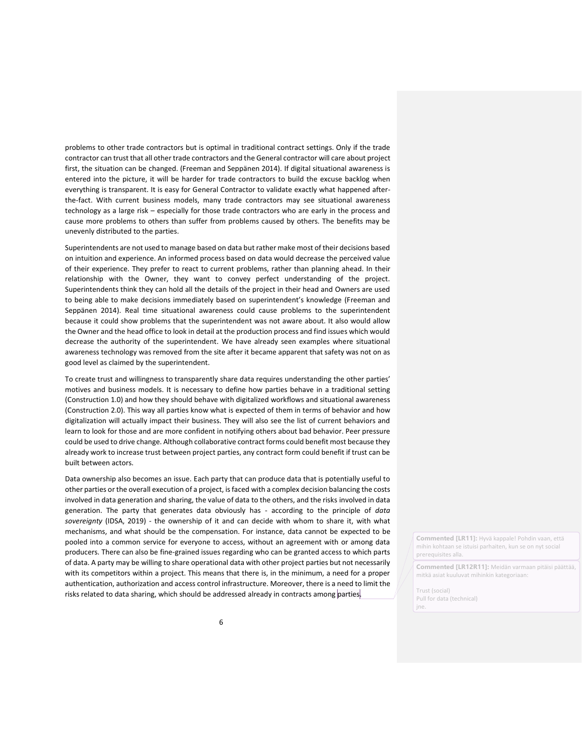problems to other trade contractors but is optimal in traditional contract settings. Only if the trade contractor can trust that all other trade contractors and the General contractor will care about project first, the situation can be changed. (Freeman and Seppänen 2014). If digital situational awareness is entered into the picture, it will be harder for trade contractors to build the excuse backlog when everything is transparent. It is easy for General Contractor to validate exactly what happened afterthe-fact. With current business models, many trade contractors may see situational awareness technology as a large risk – especially for those trade contractors who are early in the process and cause more problems to others than suffer from problems caused by others. The benefits may be unevenly distributed to the parties.

Superintendents are not used to manage based on data but rather make most of their decisions based on intuition and experience. An informed process based on data would decrease the perceived value of their experience. They prefer to react to current problems, rather than planning ahead. In their relationship with the Owner, they want to convey perfect understanding of the project. Superintendents think they can hold all the details of the project in their head and Owners are used to being able to make decisions immediately based on superintendent's knowledge (Freeman and Seppänen 2014). Real time situational awareness could cause problems to the superintendent because it could show problems that the superintendent was not aware about. It also would allow the Owner and the head office to look in detail at the production process and find issues which would decrease the authority of the superintendent. We have already seen examples where situational awareness technology was removed from the site after it became apparent that safety was not on as good level as claimed by the superintendent.

To create trust and willingness to transparently share data requires understanding the other parties' motives and business models. It is necessary to define how parties behave in a traditional setting (Construction 1.0) and how they should behave with digitalized workflows and situational awareness (Construction 2.0). This way all parties know what is expected of them in terms of behavior and how digitalization will actually impact their business. They will also see the list of current behaviors and learn to look for those and are more confident in notifying others about bad behavior. Peer pressure could be used to drive change. Although collaborative contract forms could benefit most because they already work to increase trust between project parties, any contract form could benefit if trust can be built between actors.

Data ownership also becomes an issue. Each party that can produce data that is potentially useful to other parties or the overall execution of a project, is faced with a complex decision balancing the costs involved in data generation and sharing, the value of data to the others, and the risks involved in data generation. The party that generates data obviously has - according to the principle of *data sovereignty* (IDSA, 2019) - the ownership of it and can decide with whom to share it, with what mechanisms, and what should be the compensation. For instance, data cannot be expected to be pooled into a common service for everyone to access, without an agreement with or among data producers. There can also be fine-grained issues regarding who can be granted access to which parts of data. A party may be willing to share operational data with other project parties but not necessarily with its competitors within a project. This means that there is, in the minimum, a need for a proper authentication, authorization and access control infrastructure. Moreover, there is a need to limit the risks related to data sharing, which should be addressed already in contracts among parties.

**Commented [LR11]:** Hyvä kappale! Pohdin vaan, että mihin kohtaan se istuisi parhaiten, kun se on nyt social prerequisites alla.

**Commented [LR12R11]:** Meidän varmaan pitäisi päättää, mitkä asiat kuuluvat mihinkin kategoriaan:

Trust (social) Pull for data (technical) jne.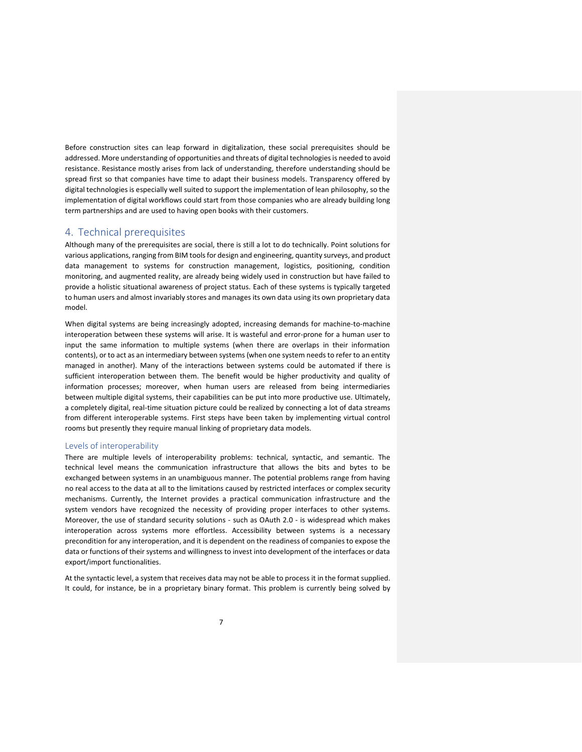Before construction sites can leap forward in digitalization, these social prerequisites should be addressed. More understanding of opportunities and threats of digital technologies is needed to avoid resistance. Resistance mostly arises from lack of understanding, therefore understanding should be spread first so that companies have time to adapt their business models. Transparency offered by digital technologies is especially well suited to support the implementation of lean philosophy, so the implementation of digital workflows could start from those companies who are already building long term partnerships and are used to having open books with their customers.

#### <span id="page-6-0"></span>4. Technical prerequisites

Although many of the prerequisites are social, there is still a lot to do technically. Point solutions for various applications, ranging from BIM tools for design and engineering, quantity surveys, and product data management to systems for construction management, logistics, positioning, condition monitoring, and augmented reality, are already being widely used in construction but have failed to provide a holistic situational awareness of project status. Each of these systems is typically targeted to human users and almost invariably stores and manages its own data using its own proprietary data model.

When digital systems are being increasingly adopted, increasing demands for machine-to-machine interoperation between these systems will arise. It is wasteful and error-prone for a human user to input the same information to multiple systems (when there are overlaps in their information contents), or to act as an intermediary between systems (when one system needs to refer to an entity managed in another). Many of the interactions between systems could be automated if there is sufficient interoperation between them. The benefit would be higher productivity and quality of information processes; moreover, when human users are released from being intermediaries between multiple digital systems, their capabilities can be put into more productive use. Ultimately, a completely digital, real-time situation picture could be realized by connecting a lot of data streams from different interoperable systems. First steps have been taken by implementing virtual control rooms but presently they require manual linking of proprietary data models.

#### <span id="page-6-1"></span>Levels of interoperability

There are multiple levels of interoperability problems: technical, syntactic, and semantic. The technical level means the communication infrastructure that allows the bits and bytes to be exchanged between systems in an unambiguous manner. The potential problems range from having no real access to the data at all to the limitations caused by restricted interfaces or complex security mechanisms. Currently, the Internet provides a practical communication infrastructure and the system vendors have recognized the necessity of providing proper interfaces to other systems. Moreover, the use of standard security solutions - such as OAuth 2.0 - is widespread which makes interoperation across systems more effortless. Accessibility between systems is a necessary precondition for any interoperation, and it is dependent on the readiness of companies to expose the data or functions of their systems and willingness to invest into development of the interfaces or data export/import functionalities.

At the syntactic level, a system that receives data may not be able to process it in the format supplied. It could, for instance, be in a proprietary binary format. This problem is currently being solved by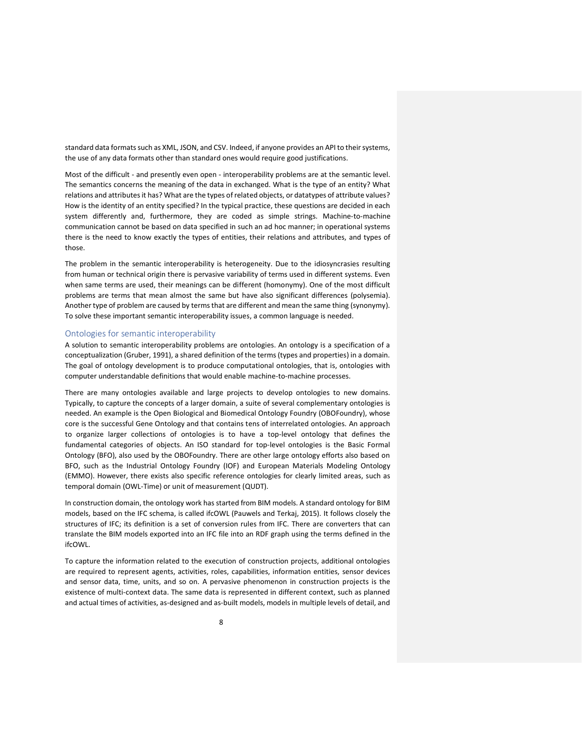standard data formats such as XML, JSON, and CSV. Indeed, if anyone provides an API to their systems, the use of any data formats other than standard ones would require good justifications.

Most of the difficult - and presently even open - interoperability problems are at the semantic level. The semantics concerns the meaning of the data in exchanged. What is the type of an entity? What relations and attributes it has? What are the types of related objects, or datatypes of attribute values? How is the identity of an entity specified? In the typical practice, these questions are decided in each system differently and, furthermore, they are coded as simple strings. Machine-to-machine communication cannot be based on data specified in such an ad hoc manner; in operational systems there is the need to know exactly the types of entities, their relations and attributes, and types of those.

The problem in the semantic interoperability is heterogeneity. Due to the idiosyncrasies resulting from human or technical origin there is pervasive variability of terms used in different systems. Even when same terms are used, their meanings can be different (homonymy). One of the most difficult problems are terms that mean almost the same but have also significant differences (polysemia). Another type of problem are caused by terms that are different and mean the same thing (synonymy). To solve these important semantic interoperability issues, a common language is needed.

#### <span id="page-7-0"></span>Ontologies for semantic interoperability

A solution to semantic interoperability problems are ontologies. An ontology is a specification of a conceptualization (Gruber, 1991), a shared definition of the terms (types and properties) in a domain. The goal of ontology development is to produce computational ontologies, that is, ontologies with computer understandable definitions that would enable machine-to-machine processes.

There are many ontologies available and large projects to develop ontologies to new domains. Typically, to capture the concepts of a larger domain, a suite of several complementary ontologies is needed. An example is the Open Biological and Biomedical Ontology Foundry (OBOFoundry), whose core is the successful Gene Ontology and that contains tens of interrelated ontologies. An approach to organize larger collections of ontologies is to have a top-level ontology that defines the fundamental categories of objects. An ISO standard for top-level ontologies is the Basic Formal Ontology (BFO), also used by the OBOFoundry. There are other large ontology efforts also based on BFO, such as the Industrial Ontology Foundry (IOF) and European Materials Modeling Ontology (EMMO). However, there exists also specific reference ontologies for clearly limited areas, such as temporal domain (OWL-Time) or unit of measurement (QUDT).

In construction domain, the ontology work has started from BIM models. A standard ontology for BIM models, based on the IFC schema, is called ifcOWL (Pauwels and Terkaj, 2015). It follows closely the structures of IFC; its definition is a set of conversion rules from IFC. There are converters that can translate the BIM models exported into an IFC file into an RDF graph using the terms defined in the ifcOWL.

To capture the information related to the execution of construction projects, additional ontologies are required to represent agents, activities, roles, capabilities, information entities, sensor devices and sensor data, time, units, and so on. A pervasive phenomenon in construction projects is the existence of multi-context data. The same data is represented in different context, such as planned and actual times of activities, as-designed and as-built models, models in multiple levels of detail, and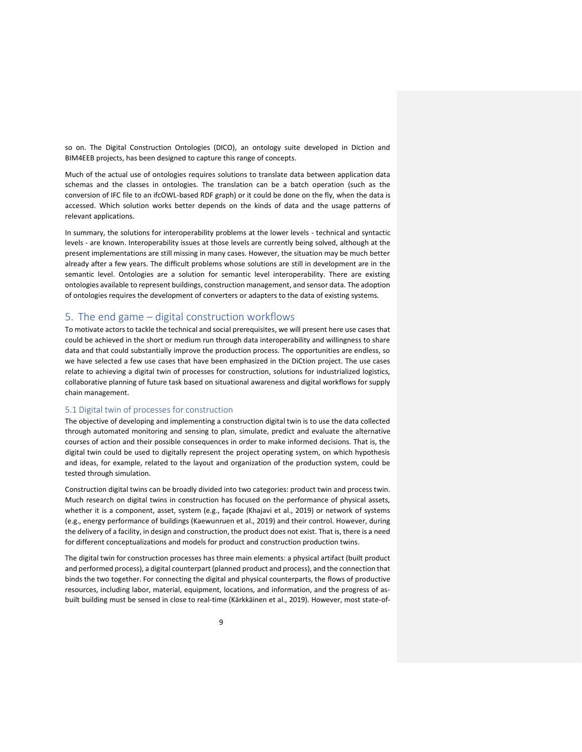so on. The Digital Construction Ontologies (DICO), an ontology suite developed in Diction and BIM4EEB projects, has been designed to capture this range of concepts.

Much of the actual use of ontologies requires solutions to translate data between application data schemas and the classes in ontologies. The translation can be a batch operation (such as the conversion of IFC file to an ifcOWL-based RDF graph) or it could be done on the fly, when the data is accessed. Which solution works better depends on the kinds of data and the usage patterns of relevant applications.

In summary, the solutions for interoperability problems at the lower levels - technical and syntactic levels - are known. Interoperability issues at those levels are currently being solved, although at the present implementations are still missing in many cases. However, the situation may be much better already after a few years. The difficult problems whose solutions are still in development are in the semantic level. Ontologies are a solution for semantic level interoperability. There are existing ontologies available to represent buildings, construction management, and sensor data. The adoption of ontologies requires the development of converters or adapters to the data of existing systems.

# <span id="page-8-0"></span>5. The end game – digital construction workflows

To motivate actors to tackle the technical and social prerequisites, we will present here use cases that could be achieved in the short or medium run through data interoperability and willingness to share data and that could substantially improve the production process. The opportunities are endless, so we have selected a few use cases that have been emphasized in the DiCtion project. The use cases relate to achieving a digital twin of processes for construction, solutions for industrialized logistics, collaborative planning of future task based on situational awareness and digital workflows for supply chain management.

#### <span id="page-8-1"></span>5.1 Digital twin of processes for construction

The objective of developing and implementing a construction digital twin is to use the data collected through automated monitoring and sensing to plan, simulate, predict and evaluate the alternative courses of action and their possible consequences in order to make informed decisions. That is, the digital twin could be used to digitally represent the project operating system, on which hypothesis and ideas, for example, related to the layout and organization of the production system, could be tested through simulation.

Construction digital twins can be broadly divided into two categories: product twin and process twin. Much research on digital twins in construction has focused on the performance of physical assets, whether it is a component, asset, system (e.g., façade (Khajavi et al., 2019) or network of systems (e.g., energy performance of buildings (Kaewunruen et al., 2019) and their control. However, during the delivery of a facility, in design and construction, the product does not exist. That is, there is a need for different conceptualizations and models for product and construction production twins.

The digital twin for construction processes has three main elements: a physical artifact (built product and performed process), a digital counterpart (planned product and process), and the connection that binds the two together. For connecting the digital and physical counterparts, the flows of productive resources, including labor, material, equipment, locations, and information, and the progress of asbuilt building must be sensed in close to real-time (Kärkkäinen et al., 2019). However, most state-of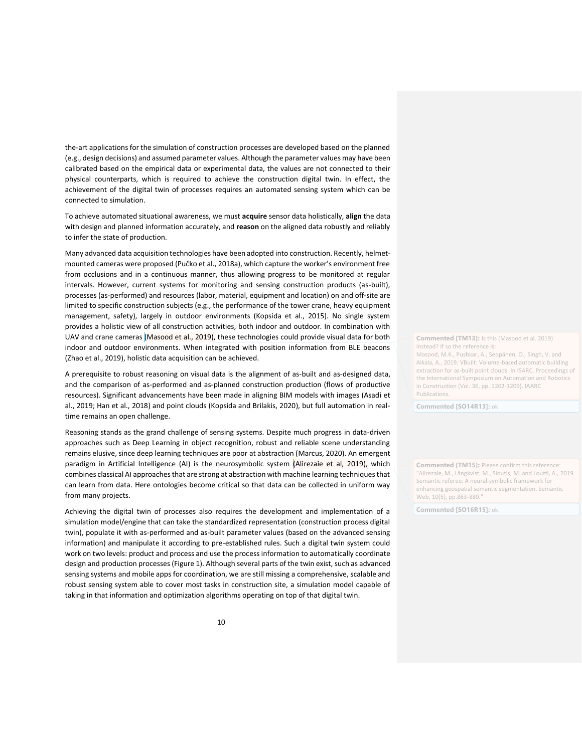the-art applications for the simulation of construction processes are developed based on the planned (e.g., design decisions) and assumed parameter values. Although the parameter values may have been calibrated based on the empirical data or experimental data, the values are not connected to their physical counterparts, which is required to achieve the construction digital twin. In effect, the achievement of the digital twin of processes requires an automated sensing system which can be connected to simulation.

To achieve automated situational awareness, we must **acquire** sensor data holistically, **align** the data with design and planned information accurately, and **reason** on the aligned data robustly and reliably to infer the state of production.

Many advanced data acquisition technologies have been adopted into construction. Recently, helmetmounted cameras were proposed (Pučko et al., 2018a), which capture the worker's environment free from occlusions and in a continuous manner, thus allowing progress to be monitored at regular intervals. However, current systems for monitoring and sensing construction products (as-built), processes (as-performed) and resources (labor, material, equipment and location) on and off-site are limited to specific construction subjects (e.g., the performance of the tower crane, heavy equipment management, safety), largely in outdoor environments (Kopsida et al., 2015). No single system provides a holistic view of all construction activities, both indoor and outdoor. In combination with UAV and crane cameras (Masood et al., 2019), these technologies could provide visual data for both indoor and outdoor environments. When integrated with position information from BLE beacons (Zhao et al., 2019), holistic data acquisition can be achieved.

A prerequisite to robust reasoning on visual data is the alignment of as-built and as-designed data, and the comparison of as-performed and as-planned construction production (flows of productive resources). Significant advancements have been made in aligning BIM models with images (Asadi et al., 2019; Han et al., 2018) and point clouds (Kopsida and Brilakis, 2020), but full automation in realtime remains an open challenge.

Reasoning stands as the grand challenge of sensing systems. Despite much progress in data-driven approaches such as Deep Learning in object recognition, robust and reliable scene understanding remains elusive, since deep learning techniques are poor at abstraction (Marcus, 2020). An emergent paradigm in Artificial Intelligence (AI) is the neurosymbolic system (Alirezaie et al, 2019), which combines classical AI approaches that are strong at abstraction with machine learning techniques that can learn from data. Here ontologies become critical so that data can be collected in uniform way from many projects.

Achieving the digital twin of processes also requires the development and implementation of a simulation model/engine that can take the standardized representation (construction process digital twin), populate it with as-performed and as-built parameter values (based on the advanced sensing information) and manipulate it according to pre-established rules. Such a digital twin system could work on two levels: product and process and use the process information to automatically coordinate design and production processes (Figure 1). Although several parts of the twin exist, such as advanced sensing systems and mobile apps for coordination, we are still missing a comprehensive, scalable and robust sensing system able to cover most tasks in construction site, a simulation model capable of taking in that information and optimization algorithms operating on top of that digital twin.

**Commented [TM13]:** Is this (Masood et al. 2019) instead? If so the reference is

Masood, M.K., Pushkar, A., Seppänen, O., Singh, V. and Aikala, A., 2019. VBuilt: Volume-based automatic building extraction for as-built point clouds. In ISARC. Proceedings of the International Symposium on Automation and Robotics in Construction (Vol. 36, pp. 1202-1209). IAARC Publications.

**Commented [SO14R13]:** ok

**Commented [TM15]:** Please confirm this reference: "Alirezaie, M., Längkvist, M., Sioutis, M. and Loutfi, A., 2019. Semantic referee: A neural-symbolic framework for enhancing geospatial semantic segmentation. Semantic Web, 10(5), pp.863-880.

**Commented [SO16R15]:** ok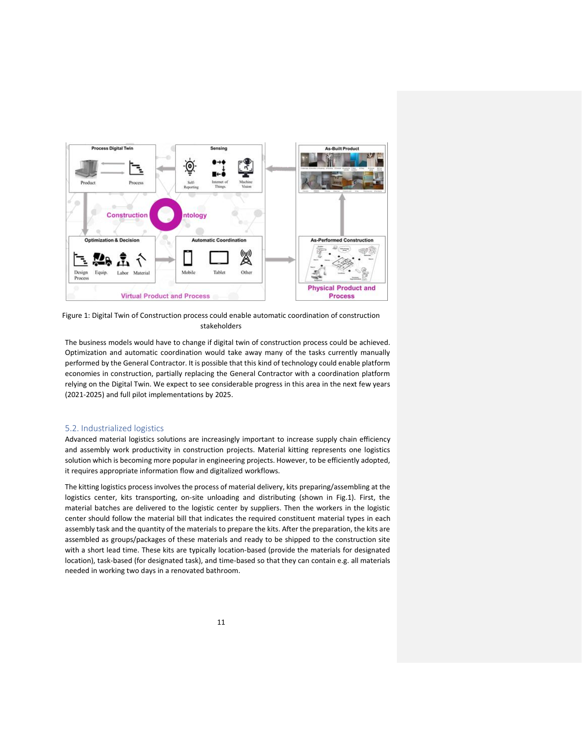

Figure 1: Digital Twin of Construction process could enable automatic coordination of construction stakeholders

The business models would have to change if digital twin of construction process could be achieved. Optimization and automatic coordination would take away many of the tasks currently manually performed by the General Contractor. It is possible that this kind of technology could enable platform economies in construction, partially replacing the General Contractor with a coordination platform relying on the Digital Twin. We expect to see considerable progress in this area in the next few years (2021-2025) and full pilot implementations by 2025.

#### <span id="page-10-0"></span>5.2. Industrialized logistics

Advanced material logistics solutions are increasingly important to increase supply chain efficiency and assembly work productivity in construction projects. Material kitting represents one logistics solution which is becoming more popular in engineering projects. However, to be efficiently adopted, it requires appropriate information flow and digitalized workflows.

The kitting logistics process involves the process of material delivery, kits preparing/assembling at the logistics center, kits transporting, on-site unloading and distributing (shown in Fig.1). First, the material batches are delivered to the logistic center by suppliers. Then the workers in the logistic center should follow the material bill that indicates the required constituent material types in each assembly task and the quantity of the materials to prepare the kits. After the preparation, the kits are assembled as groups/packages of these materials and ready to be shipped to the construction site with a short lead time. These kits are typically location-based (provide the materials for designated location), task-based (for designated task), and time-based so that they can contain e.g. all materials needed in working two days in a renovated bathroom.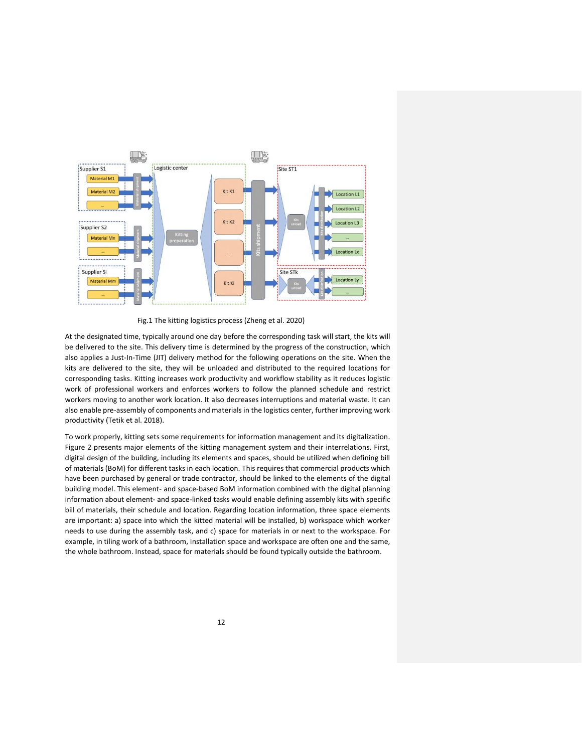

Fig.1 The kitting logistics process (Zheng et al. 2020)

At the designated time, typically around one day before the corresponding task will start, the kits will be delivered to the site. This delivery time is determined by the progress of the construction, which also applies a Just-In-Time (JIT) delivery method for the following operations on the site. When the kits are delivered to the site, they will be unloaded and distributed to the required locations for corresponding tasks. Kitting increases work productivity and workflow stability as it reduces logistic work of professional workers and enforces workers to follow the planned schedule and restrict workers moving to another work location. It also decreases interruptions and material waste. It can also enable pre-assembly of components and materials in the logistics center, further improving work productivity (Tetik et al. 2018).

To work properly, kitting sets some requirements for information management and its digitalization. Figure 2 presents major elements of the kitting management system and their interrelations. First, digital design of the building, including its elements and spaces, should be utilized when defining bill of materials (BoM) for different tasks in each location. This requires that commercial products which have been purchased by general or trade contractor, should be linked to the elements of the digital building model. This element- and space-based BoM information combined with the digital planning information about element- and space-linked tasks would enable defining assembly kits with specific bill of materials, their schedule and location. Regarding location information, three space elements are important: a) space into which the kitted material will be installed, b) workspace which worker needs to use during the assembly task, and c) space for materials in or next to the workspace. For example, in tiling work of a bathroom, installation space and workspace are often one and the same, the whole bathroom. Instead, space for materials should be found typically outside the bathroom.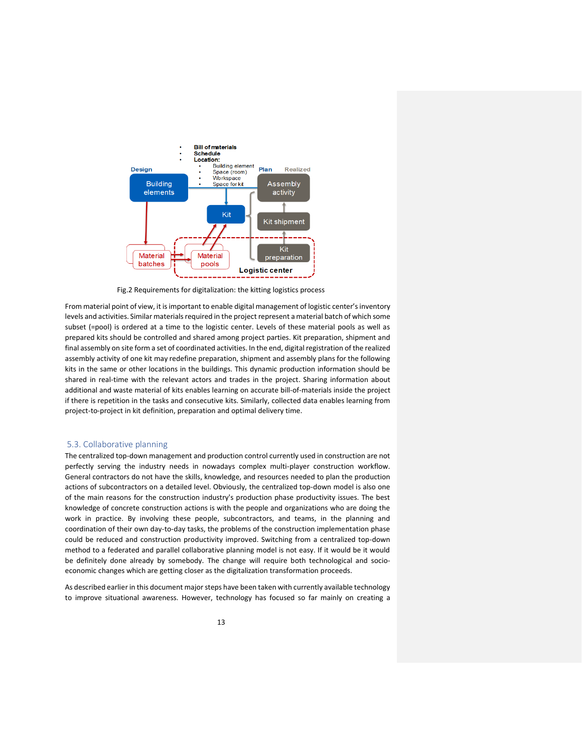

Fig.2 Requirements for digitalization: the kitting logistics process

From material point of view, it is important to enable digital management of logistic center's inventory levels and activities. Similar materials required in the project represent a material batch of which some subset (=pool) is ordered at a time to the logistic center. Levels of these material pools as well as prepared kits should be controlled and shared among project parties. Kit preparation, shipment and final assembly on site form a set of coordinated activities. In the end, digital registration of the realized assembly activity of one kit may redefine preparation, shipment and assembly plans for the following kits in the same or other locations in the buildings. This dynamic production information should be shared in real-time with the relevant actors and trades in the project. Sharing information about additional and waste material of kits enables learning on accurate bill-of-materials inside the project if there is repetition in the tasks and consecutive kits. Similarly, collected data enables learning from project-to-project in kit definition, preparation and optimal delivery time.

#### <span id="page-12-0"></span>5.3. Collaborative planning

The centralized top-down management and production control currently used in construction are not perfectly serving the industry needs in nowadays complex multi-player construction workflow. General contractors do not have the skills, knowledge, and resources needed to plan the production actions of subcontractors on a detailed level. Obviously, the centralized top-down model is also one of the main reasons for the construction industry's production phase productivity issues. The best knowledge of concrete construction actions is with the people and organizations who are doing the work in practice. By involving these people, subcontractors, and teams, in the planning and coordination of their own day-to-day tasks, the problems of the construction implementation phase could be reduced and construction productivity improved. Switching from a centralized top-down method to a federated and parallel collaborative planning model is not easy. If it would be it would be definitely done already by somebody. The change will require both technological and socioeconomic changes which are getting closer as the digitalization transformation proceeds.

As described earlier in this document major steps have been taken with currently available technology to improve situational awareness. However, technology has focused so far mainly on creating a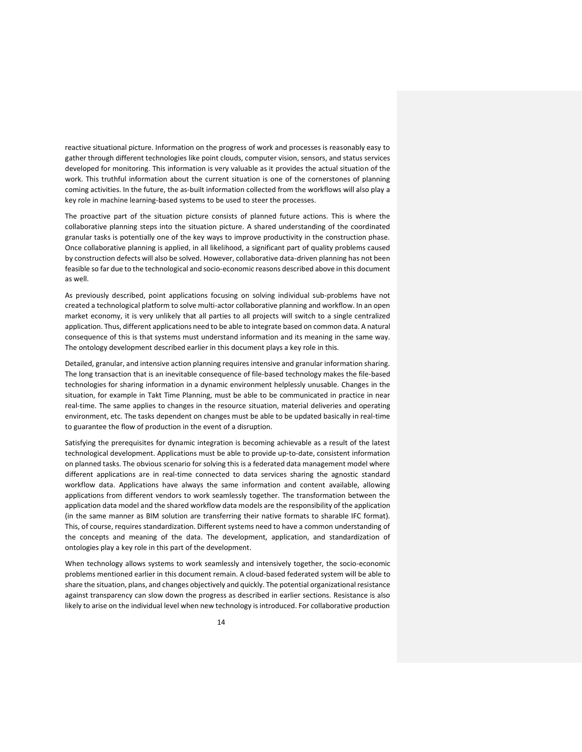reactive situational picture. Information on the progress of work and processes is reasonably easy to gather through different technologies like point clouds, computer vision, sensors, and status services developed for monitoring. This information is very valuable as it provides the actual situation of the work. This truthful information about the current situation is one of the cornerstones of planning coming activities. In the future, the as-built information collected from the workflows will also play a key role in machine learning-based systems to be used to steer the processes.

The proactive part of the situation picture consists of planned future actions. This is where the collaborative planning steps into the situation picture. A shared understanding of the coordinated granular tasks is potentially one of the key ways to improve productivity in the construction phase. Once collaborative planning is applied, in all likelihood, a significant part of quality problems caused by construction defects will also be solved. However, collaborative data-driven planning has not been feasible so far due to the technological and socio-economic reasons described above in this document as well.

As previously described, point applications focusing on solving individual sub-problems have not created a technological platform to solve multi-actor collaborative planning and workflow. In an open market economy, it is very unlikely that all parties to all projects will switch to a single centralized application. Thus, different applications need to be able to integrate based on common data. A natural consequence of this is that systems must understand information and its meaning in the same way. The ontology development described earlier in this document plays a key role in this.

Detailed, granular, and intensive action planning requires intensive and granular information sharing. The long transaction that is an inevitable consequence of file-based technology makes the file-based technologies for sharing information in a dynamic environment helplessly unusable. Changes in the situation, for example in Takt Time Planning, must be able to be communicated in practice in near real-time. The same applies to changes in the resource situation, material deliveries and operating environment, etc. The tasks dependent on changes must be able to be updated basically in real-time to guarantee the flow of production in the event of a disruption.

Satisfying the prerequisites for dynamic integration is becoming achievable as a result of the latest technological development. Applications must be able to provide up-to-date, consistent information on planned tasks. The obvious scenario for solving this is a federated data management model where different applications are in real-time connected to data services sharing the agnostic standard workflow data. Applications have always the same information and content available, allowing applications from different vendors to work seamlessly together. The transformation between the application data model and the shared workflow data models are the responsibility of the application (in the same manner as BIM solution are transferring their native formats to sharable IFC format). This, of course, requires standardization. Different systems need to have a common understanding of the concepts and meaning of the data. The development, application, and standardization of ontologies play a key role in this part of the development.

When technology allows systems to work seamlessly and intensively together, the socio-economic problems mentioned earlier in this document remain. A cloud-based federated system will be able to share the situation, plans, and changes objectively and quickly. The potential organizational resistance against transparency can slow down the progress as described in earlier sections. Resistance is also likely to arise on the individual level when new technology is introduced. For collaborative production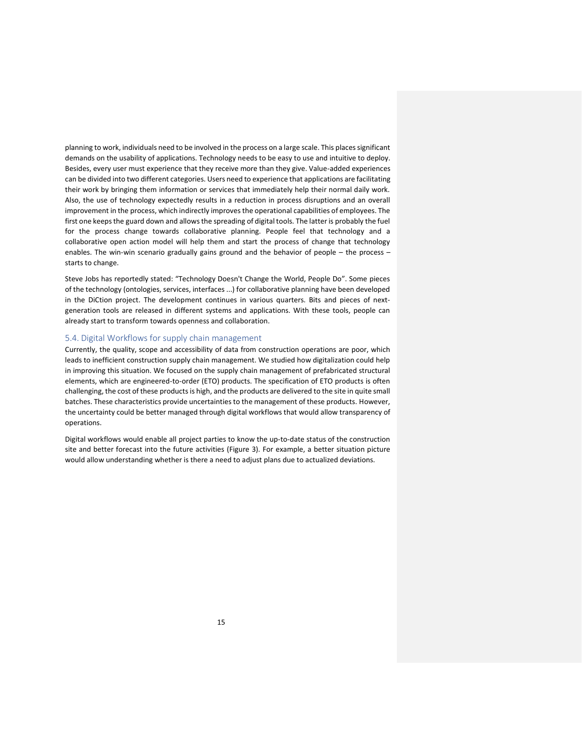planning to work, individuals need to be involved in the process on a large scale. This places significant demands on the usability of applications. Technology needs to be easy to use and intuitive to deploy. Besides, every user must experience that they receive more than they give. Value-added experiences can be divided into two different categories. Users need to experience that applications are facilitating their work by bringing them information or services that immediately help their normal daily work. Also, the use of technology expectedly results in a reduction in process disruptions and an overall improvement in the process, which indirectly improves the operational capabilities of employees. The first one keeps the guard down and allows the spreading of digital tools. The latter is probably the fuel for the process change towards collaborative planning. People feel that technology and a collaborative open action model will help them and start the process of change that technology enables. The win-win scenario gradually gains ground and the behavior of people – the process – starts to change.

Steve Jobs has reportedly stated: "Technology Doesn't Change the World, People Do". Some pieces of the technology (ontologies, services, interfaces ...) for collaborative planning have been developed in the DiCtion project. The development continues in various quarters. Bits and pieces of nextgeneration tools are released in different systems and applications. With these tools, people can already start to transform towards openness and collaboration.

### <span id="page-14-0"></span>5.4. Digital Workflows for supply chain management

Currently, the quality, scope and accessibility of data from construction operations are poor, which leads to inefficient construction supply chain management. We studied how digitalization could help in improving this situation. We focused on the supply chain management of prefabricated structural elements, which are engineered-to-order (ETO) products. The specification of ETO products is often challenging, the cost of these products is high, and the products are delivered to the site in quite small batches. These characteristics provide uncertainties to the management of these products. However, the uncertainty could be better managed through digital workflows that would allow transparency of operations.

Digital workflows would enable all project parties to know the up-to-date status of the construction site and better forecast into the future activities (Figure 3). For example, a better situation picture would allow understanding whether is there a need to adjust plans due to actualized deviations.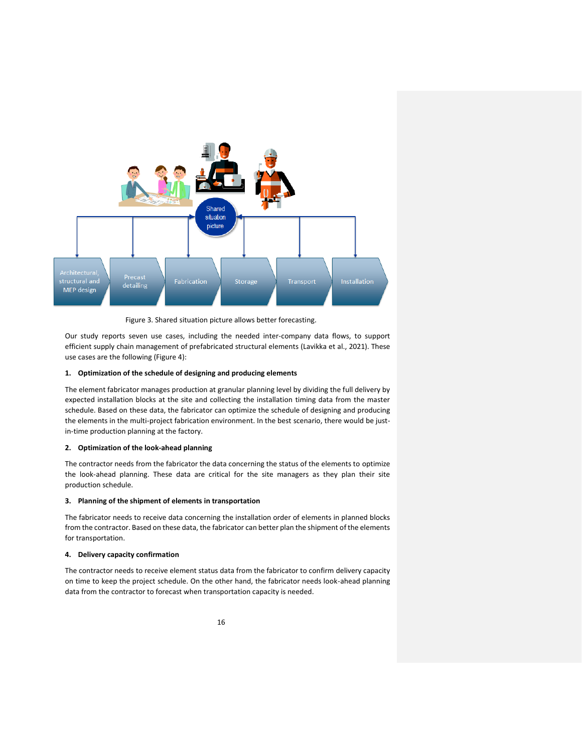

Figure 3. Shared situation picture allows better forecasting.

Our study reports seven use cases, including the needed inter-company data flows, to support efficient supply chain management of prefabricated structural elements (Lavikka et al., 2021). These use cases are the following (Figure 4):

#### **1. Optimization of the schedule of designing and producing elements**

The element fabricator manages production at granular planning level by dividing the full delivery by expected installation blocks at the site and collecting the installation timing data from the master schedule. Based on these data, the fabricator can optimize the schedule of designing and producing the elements in the multi-project fabrication environment. In the best scenario, there would be justin-time production planning at the factory.

#### **2. Optimization of the look-ahead planning**

The contractor needs from the fabricator the data concerning the status of the elements to optimize the look-ahead planning. These data are critical for the site managers as they plan their site production schedule.

#### **3. Planning of the shipment of elements in transportation**

The fabricator needs to receive data concerning the installation order of elements in planned blocks from the contractor. Based on these data, the fabricator can better plan the shipment of the elements for transportation.

#### **4. Delivery capacity confirmation**

The contractor needs to receive element status data from the fabricator to confirm delivery capacity on time to keep the project schedule. On the other hand, the fabricator needs look-ahead planning data from the contractor to forecast when transportation capacity is needed.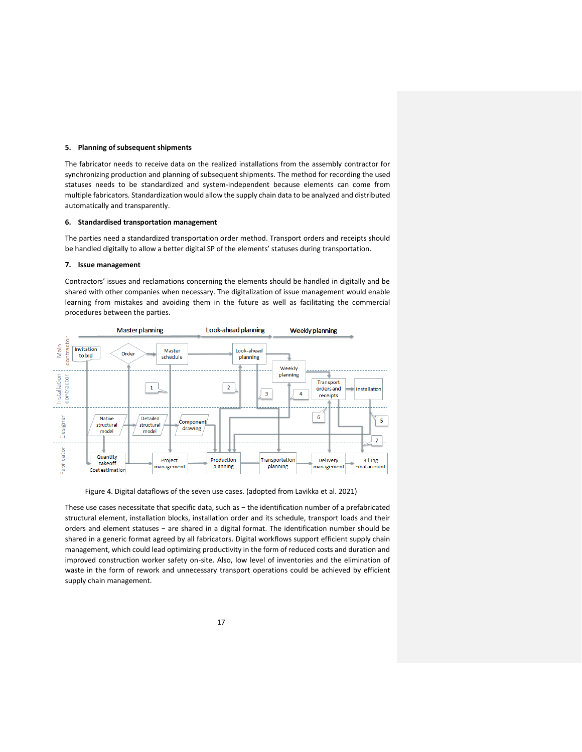#### **5. Planning of subsequent shipments**

The fabricator needs to receive data on the realized installations from the assembly contractor for synchronizing production and planning of subsequent shipments. The method for recording the used statuses needs to be standardized and system-independent because elements can come from multiple fabricators. Standardization would allow the supply chain data to be analyzed and distributed automatically and transparently.

#### **6. Standardised transportation management**

The parties need a standardized transportation order method. Transport orders and receipts should be handled digitally to allow a better digital SP of the elements' statuses during transportation.

#### **7. Issue management**

Contractors' issues and reclamations concerning the elements should be handled in digitally and be shared with other companies when necessary. The digitalization of issue management would enable learning from mistakes and avoiding them in the future as well as facilitating the commercial procedures between the parties.



Figure 4. Digital dataflows of the seven use cases. (adopted from Lavikka et al. 2021)

These use cases necessitate that specific data, such as − the identification number of a prefabricated structural element, installation blocks, installation order and its schedule, transport loads and their orders and element statuses − are shared in a digital format. The identification number should be shared in a generic format agreed by all fabricators. Digital workflows support efficient supply chain management, which could lead optimizing productivity in the form of reduced costs and duration and improved construction worker safety on-site. Also, low level of inventories and the elimination of waste in the form of rework and unnecessary transport operations could be achieved by efficient supply chain management.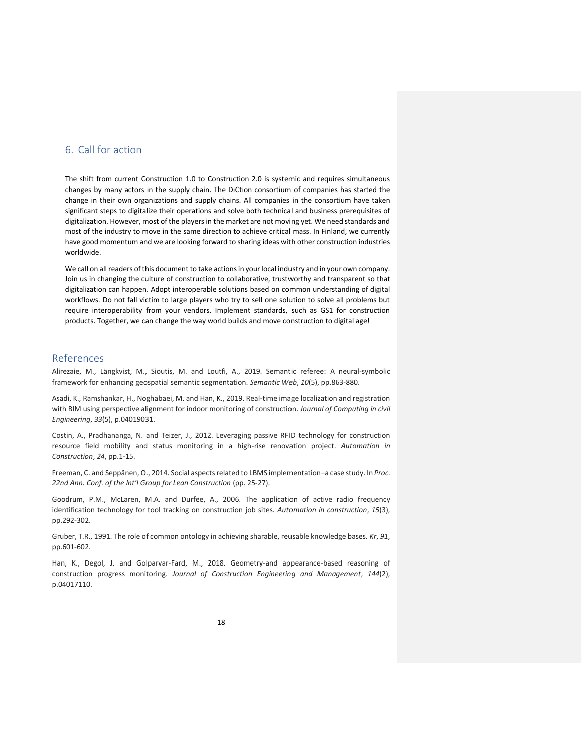# <span id="page-17-0"></span>6. Call for action

The shift from current Construction 1.0 to Construction 2.0 is systemic and requires simultaneous changes by many actors in the supply chain. The DiCtion consortium of companies has started the change in their own organizations and supply chains. All companies in the consortium have taken significant steps to digitalize their operations and solve both technical and business prerequisites of digitalization. However, most of the players in the market are not moving yet. We need standards and most of the industry to move in the same direction to achieve critical mass. In Finland, we currently have good momentum and we are looking forward to sharing ideas with other construction industries worldwide.

We call on all readers of this document to take actions in your local industry and in your own company. Join us in changing the culture of construction to collaborative, trustworthy and transparent so that digitalization can happen. Adopt interoperable solutions based on common understanding of digital workflows. Do not fall victim to large players who try to sell one solution to solve all problems but require interoperability from your vendors. Implement standards, such as GS1 for construction products. Together, we can change the way world builds and move construction to digital age!

## <span id="page-17-1"></span>References

Alirezaie, M., Längkvist, M., Sioutis, M. and Loutfi, A., 2019. Semantic referee: A neural-symbolic framework for enhancing geospatial semantic segmentation. *Semantic Web*, *10*(5), pp.863-880.

Asadi, K., Ramshankar, H., Noghabaei, M. and Han, K., 2019. Real-time image localization and registration with BIM using perspective alignment for indoor monitoring of construction. *Journal of Computing in civil Engineering*, *33*(5), p.04019031.

Costin, A., Pradhananga, N. and Teizer, J., 2012. Leveraging passive RFID technology for construction resource field mobility and status monitoring in a high-rise renovation project. *Automation in Construction*, *24*, pp.1-15.

Freeman, C. and Seppänen, O., 2014. Social aspects related to LBMS implementation–a case study. In *Proc. 22nd Ann. Conf. of the Int'l Group for Lean Construction* (pp. 25-27).

Goodrum, P.M., McLaren, M.A. and Durfee, A., 2006. The application of active radio frequency identification technology for tool tracking on construction job sites. *Automation in construction*, *15*(3), pp.292-302.

Gruber, T.R., 1991. The role of common ontology in achieving sharable, reusable knowledge bases. *Kr*, *91*, pp.601-602.

Han, K., Degol, J. and Golparvar-Fard, M., 2018. Geometry-and appearance-based reasoning of construction progress monitoring. *Journal of Construction Engineering and Management*, *144*(2), p.04017110.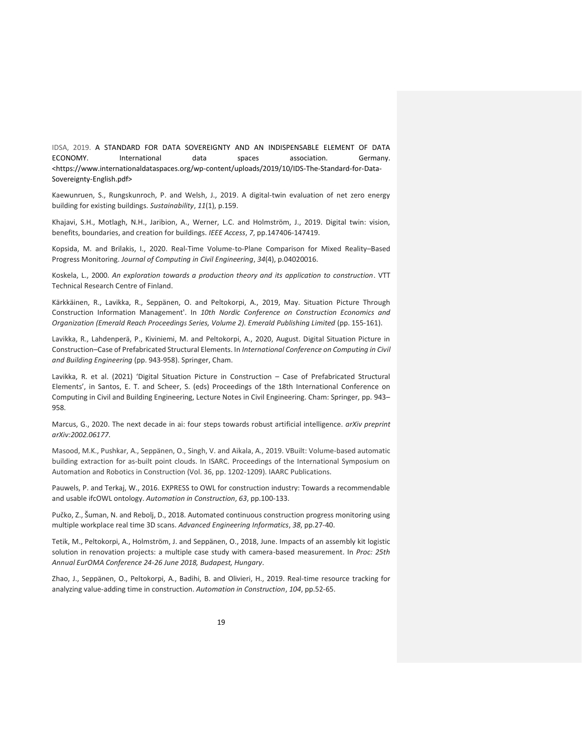IDSA, 2019. A STANDARD FOR DATA SOVEREIGNTY AND AN INDISPENSABLE ELEMENT OF DATA ECONOMY. International data spaces association. Germany. <https://www.internationaldataspaces.org/wp-content/uploads/2019/10/IDS-The-Standard-for-Data-Sovereignty-English.pdf>

Kaewunruen, S., Rungskunroch, P. and Welsh, J., 2019. A digital-twin evaluation of net zero energy building for existing buildings. *Sustainability*, *11*(1), p.159.

Khajavi, S.H., Motlagh, N.H., Jaribion, A., Werner, L.C. and Holmström, J., 2019. Digital twin: vision, benefits, boundaries, and creation for buildings. *IEEE Access*, *7*, pp.147406-147419.

Kopsida, M. and Brilakis, I., 2020. Real-Time Volume-to-Plane Comparison for Mixed Reality–Based Progress Monitoring. *Journal of Computing in Civil Engineering*, *34*(4), p.04020016.

Koskela, L., 2000. *An exploration towards a production theory and its application to construction*. VTT Technical Research Centre of Finland.

Kärkkäinen, R., Lavikka, R., Seppänen, O. and Peltokorpi, A., 2019, May. Situation Picture Through Construction Information Management'. In *10th Nordic Conference on Construction Economics and Organization (Emerald Reach Proceedings Series, Volume 2). Emerald Publishing Limited* (pp. 155-161).

Lavikka, R., Lahdenperä, P., Kiviniemi, M. and Peltokorpi, A., 2020, August. Digital Situation Picture in Construction–Case of Prefabricated Structural Elements. In *International Conference on Computing in Civil and Building Engineering* (pp. 943-958). Springer, Cham.

Lavikka, R. et al. (2021) 'Digital Situation Picture in Construction – Case of Prefabricated Structural Elements', in Santos, E. T. and Scheer, S. (eds) Proceedings of the 18th International Conference on Computing in Civil and Building Engineering, Lecture Notes in Civil Engineering. Cham: Springer, pp. 943– 958.

Marcus, G., 2020. The next decade in ai: four steps towards robust artificial intelligence. *arXiv preprint arXiv:2002.06177*.

Masood, M.K., Pushkar, A., Seppänen, O., Singh, V. and Aikala, A., 2019. VBuilt: Volume-based automatic building extraction for as-built point clouds. In ISARC. Proceedings of the International Symposium on Automation and Robotics in Construction (Vol. 36, pp. 1202-1209). IAARC Publications.

Pauwels, P. and Terkaj, W., 2016. EXPRESS to OWL for construction industry: Towards a recommendable and usable ifcOWL ontology. *Automation in Construction*, *63*, pp.100-133.

Pučko, Z., Šuman, N. and Rebolj, D., 2018. Automated continuous construction progress monitoring using multiple workplace real time 3D scans. *Advanced Engineering Informatics*, *38*, pp.27-40.

Tetik, M., Peltokorpi, A., Holmström, J. and Seppänen, O., 2018, June. Impacts of an assembly kit logistic solution in renovation projects: a multiple case study with camera-based measurement. In *Proc: 25th Annual EurOMA Conference 24-26 June 2018, Budapest, Hungary*.

Zhao, J., Seppänen, O., Peltokorpi, A., Badihi, B. and Olivieri, H., 2019. Real-time resource tracking for analyzing value-adding time in construction. *Automation in Construction*, *104*, pp.52-65.